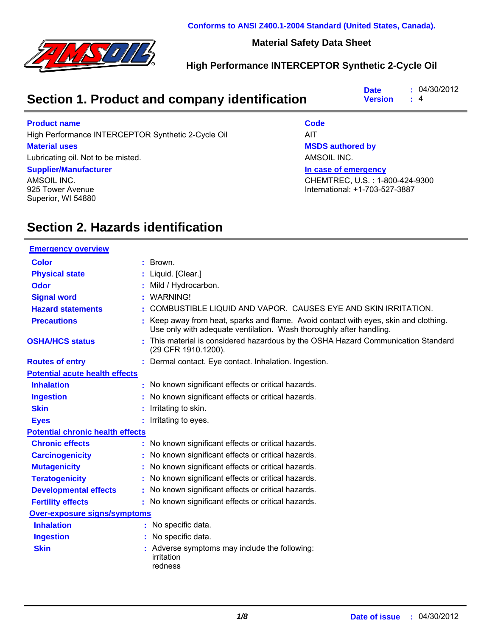

**Conforms to ANSI Z400.1-2004 Standard (United States, Canada).**

#### **Material Safety Data Sheet**

### **High Performance INTERCEPTOR Synthetic 2-Cycle Oil**

| <b>Date</b>                                   | : 04/30/2012       |
|-----------------------------------------------|--------------------|
| Section 1. Product and company identification | <b>Version</b> : 4 |

#### **Product name**

High Performance INTERCEPTOR Synthetic 2-Cycle Oil AIT

#### **Material uses**

Lubricating oil. Not to be misted.

#### **Supplier/Manufacturer**

AMSOIL INC. 925 Tower Avenue Superior, WI 54880

#### **Code**

**MSDS authored by**

AMSOIL INC.

**In case of emergency**

CHEMTREC, U.S. : 1-800-424-9300 International: +1-703-527-3887

## **Section 2. Hazards identification**

| <b>Emergency overview</b>               |                                                                                                                                                           |
|-----------------------------------------|-----------------------------------------------------------------------------------------------------------------------------------------------------------|
| <b>Color</b>                            | Brown.                                                                                                                                                    |
| <b>Physical state</b>                   | Liquid. [Clear.]                                                                                                                                          |
| <b>Odor</b>                             | Mild / Hydrocarbon.                                                                                                                                       |
| <b>Signal word</b>                      | <b>WARNING!</b>                                                                                                                                           |
| <b>Hazard statements</b>                | COMBUSTIBLE LIQUID AND VAPOR. CAUSES EYE AND SKIN IRRITATION.                                                                                             |
| <b>Precautions</b>                      | Keep away from heat, sparks and flame. Avoid contact with eyes, skin and clothing.<br>Use only with adequate ventilation. Wash thoroughly after handling. |
| <b>OSHA/HCS status</b>                  | This material is considered hazardous by the OSHA Hazard Communication Standard<br>(29 CFR 1910.1200).                                                    |
| <b>Routes of entry</b>                  | : Dermal contact. Eye contact. Inhalation. Ingestion.                                                                                                     |
| <b>Potential acute health effects</b>   |                                                                                                                                                           |
| <b>Inhalation</b>                       | No known significant effects or critical hazards.                                                                                                         |
| <b>Ingestion</b>                        | No known significant effects or critical hazards.                                                                                                         |
| <b>Skin</b>                             | Irritating to skin.                                                                                                                                       |
| <b>Eyes</b>                             | Irritating to eyes.                                                                                                                                       |
| <b>Potential chronic health effects</b> |                                                                                                                                                           |
| <b>Chronic effects</b>                  | No known significant effects or critical hazards.                                                                                                         |
| <b>Carcinogenicity</b>                  | No known significant effects or critical hazards.                                                                                                         |
| <b>Mutagenicity</b>                     | No known significant effects or critical hazards.                                                                                                         |
| <b>Teratogenicity</b>                   | No known significant effects or critical hazards.                                                                                                         |
| <b>Developmental effects</b>            | No known significant effects or critical hazards.                                                                                                         |
| <b>Fertility effects</b>                | : No known significant effects or critical hazards.                                                                                                       |
| <b>Over-exposure signs/symptoms</b>     |                                                                                                                                                           |
| <b>Inhalation</b>                       | : No specific data.                                                                                                                                       |
| <b>Ingestion</b>                        | No specific data.                                                                                                                                         |
| <b>Skin</b>                             | Adverse symptoms may include the following:<br>irritation<br>redness                                                                                      |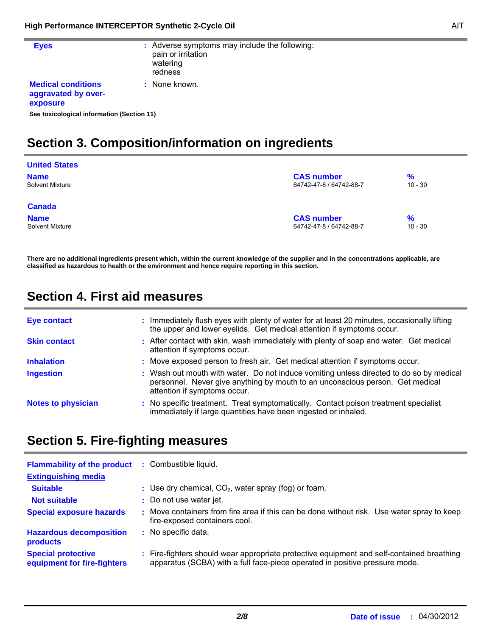r.

| <b>Eyes</b>                                                  | : Adverse symptoms may include the following:<br>pain or irritation<br>watering<br>redness |
|--------------------------------------------------------------|--------------------------------------------------------------------------------------------|
| <b>Medical conditions</b><br>aggravated by over-<br>exposure | : None known.                                                                              |
| See toxicological information (Section 11)                   |                                                                                            |

# **Section 3. Composition/information on ingredients**

| <b>United States</b>   |                         |           |
|------------------------|-------------------------|-----------|
| <b>Name</b>            | <b>CAS number</b>       | $\%$      |
| Solvent Mixture        | 64742-47-8 / 64742-88-7 | $10 - 30$ |
| <b>Canada</b>          |                         |           |
| <b>Name</b>            | <b>CAS number</b>       | %         |
| <b>Solvent Mixture</b> | 64742-47-8 / 64742-88-7 | $10 - 30$ |

**There are no additional ingredients present which, within the current knowledge of the supplier and in the concentrations applicable, are classified as hazardous to health or the environment and hence require reporting in this section.**

## **Section 4. First aid measures**

| Eye contact               | : Immediately flush eyes with plenty of water for at least 20 minutes, occasionally lifting<br>the upper and lower eyelids. Get medical attention if symptoms occur.                                     |
|---------------------------|----------------------------------------------------------------------------------------------------------------------------------------------------------------------------------------------------------|
| <b>Skin contact</b>       | : After contact with skin, wash immediately with plenty of soap and water. Get medical<br>attention if symptoms occur.                                                                                   |
| <b>Inhalation</b>         | : Move exposed person to fresh air. Get medical attention if symptoms occur.                                                                                                                             |
| <b>Ingestion</b>          | : Wash out mouth with water. Do not induce vomiting unless directed to do so by medical<br>personnel. Never give anything by mouth to an unconscious person. Get medical<br>attention if symptoms occur. |
| <b>Notes to physician</b> | : No specific treatment. Treat symptomatically. Contact poison treatment specialist<br>immediately if large quantities have been ingested or inhaled.                                                    |

## **Section 5. Fire-fighting measures**

| <b>Flammability of the product</b><br><b>Extinguishing media</b> | : Combustible liquid.                                                                                                                                                    |
|------------------------------------------------------------------|--------------------------------------------------------------------------------------------------------------------------------------------------------------------------|
| <b>Suitable</b>                                                  | : Use dry chemical, $CO2$ , water spray (fog) or foam.                                                                                                                   |
| <b>Not suitable</b>                                              | : Do not use water jet.                                                                                                                                                  |
| <b>Special exposure hazards</b>                                  | : Move containers from fire area if this can be done without risk. Use water spray to keep<br>fire-exposed containers cool.                                              |
| <b>Hazardous decomposition</b><br>products                       | : No specific data.                                                                                                                                                      |
| <b>Special protective</b><br>equipment for fire-fighters         | : Fire-fighters should wear appropriate protective equipment and self-contained breathing<br>apparatus (SCBA) with a full face-piece operated in positive pressure mode. |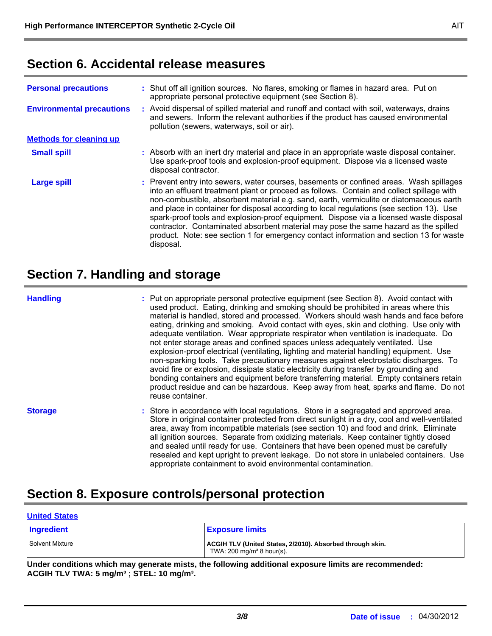## **Section 6. Accidental release measures**

| <b>Personal precautions</b>      | : Shut off all ignition sources. No flares, smoking or flames in hazard area. Put on<br>appropriate personal protective equipment (see Section 8).                                                                                                                                                                                                                                                                                                                                                                                                                                                                                                                   |
|----------------------------------|----------------------------------------------------------------------------------------------------------------------------------------------------------------------------------------------------------------------------------------------------------------------------------------------------------------------------------------------------------------------------------------------------------------------------------------------------------------------------------------------------------------------------------------------------------------------------------------------------------------------------------------------------------------------|
| <b>Environmental precautions</b> | : Avoid dispersal of spilled material and runoff and contact with soil, waterways, drains<br>and sewers. Inform the relevant authorities if the product has caused environmental<br>pollution (sewers, waterways, soil or air).                                                                                                                                                                                                                                                                                                                                                                                                                                      |
| <b>Methods for cleaning up</b>   |                                                                                                                                                                                                                                                                                                                                                                                                                                                                                                                                                                                                                                                                      |
| <b>Small spill</b>               | : Absorb with an inert dry material and place in an appropriate waste disposal container.<br>Use spark-proof tools and explosion-proof equipment. Dispose via a licensed waste<br>disposal contractor.                                                                                                                                                                                                                                                                                                                                                                                                                                                               |
| <b>Large spill</b>               | : Prevent entry into sewers, water courses, basements or confined areas. Wash spillages<br>into an effluent treatment plant or proceed as follows. Contain and collect spillage with<br>non-combustible, absorbent material e.g. sand, earth, vermiculite or diatomaceous earth<br>and place in container for disposal according to local regulations (see section 13). Use<br>spark-proof tools and explosion-proof equipment. Dispose via a licensed waste disposal<br>contractor. Contaminated absorbent material may pose the same hazard as the spilled<br>product. Note: see section 1 for emergency contact information and section 13 for waste<br>disposal. |

## **Section 7. Handling and storage**

#### **Handling**

Put on appropriate personal protective equipment (see Section 8). Avoid contact with **:** used product. Eating, drinking and smoking should be prohibited in areas where this material is handled, stored and processed. Workers should wash hands and face before eating, drinking and smoking. Avoid contact with eyes, skin and clothing. Use only with adequate ventilation. Wear appropriate respirator when ventilation is inadequate. Do not enter storage areas and confined spaces unless adequately ventilated. Use explosion-proof electrical (ventilating, lighting and material handling) equipment. Use non-sparking tools. Take precautionary measures against electrostatic discharges. To avoid fire or explosion, dissipate static electricity during transfer by grounding and bonding containers and equipment before transferring material. Empty containers retain product residue and can be hazardous. Keep away from heat, sparks and flame. Do not reuse container.

Store in accordance with local regulations. Store in a segregated and approved area. **:** Store in original container protected from direct sunlight in a dry, cool and well-ventilated area, away from incompatible materials (see section 10) and food and drink. Eliminate all ignition sources. Separate from oxidizing materials. Keep container tightly closed and sealed until ready for use. Containers that have been opened must be carefully resealed and kept upright to prevent leakage. Do not store in unlabeled containers. Use appropriate containment to avoid environmental contamination. **Storage**

## **Section 8. Exposure controls/personal protection**

| <b>United States</b> |                                                                                                   |
|----------------------|---------------------------------------------------------------------------------------------------|
| Ingredient           | <b>Exposure limits</b>                                                                            |
| Solvent Mixture      | ACGIH TLV (United States, 2/2010). Absorbed through skin.<br>TWA: $200 \text{ mg/m}^3$ 8 hour(s). |

**Under conditions which may generate mists, the following additional exposure limits are recommended: ACGIH TLV TWA: 5 mg/m³ ; STEL: 10 mg/m³.**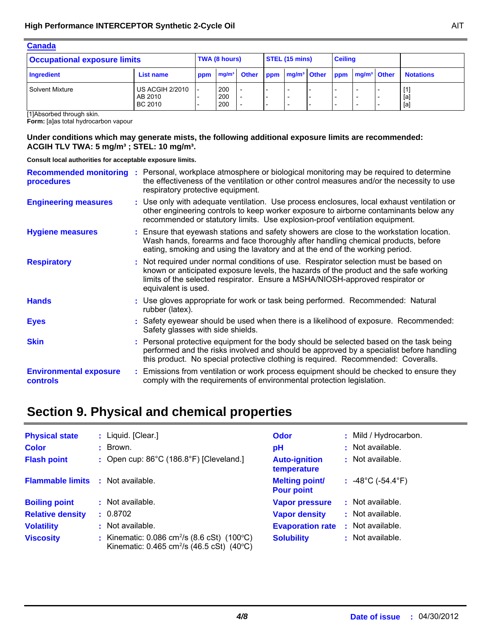| <b>Canada</b>                       |                                              |               |                   |              |                |                                                           |  |                                                                                  |                                                                                  |                          |                  |
|-------------------------------------|----------------------------------------------|---------------|-------------------|--------------|----------------|-----------------------------------------------------------|--|----------------------------------------------------------------------------------|----------------------------------------------------------------------------------|--------------------------|------------------|
| <b>Occupational exposure limits</b> |                                              | TWA (8 hours) |                   |              | STEL (15 mins) |                                                           |  | <b>Ceiling</b>                                                                   |                                                                                  |                          |                  |
| Ingredient                          | <b>List name</b>                             | ppm           | mg/m <sup>3</sup> | <b>Other</b> | ppm            | $mg/m3$ Other                                             |  | ppm                                                                              | mg/m <sup>3</sup> Other                                                          |                          | <b>Notations</b> |
| Solvent Mixture                     | <b>US ACGIH 2/2010</b><br>AB 2010<br>BC 2010 |               | 200<br>200<br>200 |              |                | $\overline{\phantom{a}}$<br>$\overline{\phantom{a}}$<br>- |  | $\overline{\phantom{0}}$<br>$\overline{\phantom{0}}$<br>$\overline{\phantom{a}}$ | $\overline{\phantom{0}}$<br>$\overline{\phantom{0}}$<br>$\overline{\phantom{0}}$ | $\overline{\phantom{0}}$ | [1]<br>[a]       |

[1]Absorbed through skin.

**Form:** [a]as total hydrocarbon vapour

#### **Under conditions which may generate mists, the following additional exposure limits are recommended: ACGIH TLV TWA: 5 mg/m³ ; STEL: 10 mg/m³.**

**Consult local authorities for acceptable exposure limits.**

| procedures                                | Recommended monitoring : Personal, workplace atmosphere or biological monitoring may be required to determine<br>the effectiveness of the ventilation or other control measures and/or the necessity to use<br>respiratory protective equipment.                                      |
|-------------------------------------------|---------------------------------------------------------------------------------------------------------------------------------------------------------------------------------------------------------------------------------------------------------------------------------------|
| <b>Engineering measures</b>               | : Use only with adequate ventilation. Use process enclosures, local exhaust ventilation or<br>other engineering controls to keep worker exposure to airborne contaminants below any<br>recommended or statutory limits. Use explosion-proof ventilation equipment.                    |
| <b>Hygiene measures</b>                   | : Ensure that eyewash stations and safety showers are close to the workstation location.<br>Wash hands, forearms and face thoroughly after handling chemical products, before<br>eating, smoking and using the lavatory and at the end of the working period.                         |
| <b>Respiratory</b>                        | : Not required under normal conditions of use. Respirator selection must be based on<br>known or anticipated exposure levels, the hazards of the product and the safe working<br>limits of the selected respirator. Ensure a MSHA/NIOSH-approved respirator or<br>equivalent is used. |
| <b>Hands</b>                              | : Use gloves appropriate for work or task being performed. Recommended: Natural<br>rubber (latex).                                                                                                                                                                                    |
| <b>Eyes</b>                               | : Safety eyewear should be used when there is a likelihood of exposure. Recommended:<br>Safety glasses with side shields.                                                                                                                                                             |
| <b>Skin</b>                               | : Personal protective equipment for the body should be selected based on the task being<br>performed and the risks involved and should be approved by a specialist before handling<br>this product. No special protective clothing is required. Recommended: Coveralls.               |
| <b>Environmental exposure</b><br>controls | : Emissions from ventilation or work process equipment should be checked to ensure they<br>comply with the requirements of environmental protection legislation.                                                                                                                      |

## **Section 9. Physical and chemical properties**

| <b>Physical state</b>                    | : Liquid. [Clear.]                                                                                               | <b>Odor</b>                                | : Mild / Hydrocarbon.                  |
|------------------------------------------|------------------------------------------------------------------------------------------------------------------|--------------------------------------------|----------------------------------------|
| <b>Color</b>                             | : Brown.                                                                                                         | рH                                         | : Not available.                       |
| <b>Flash point</b>                       | : Open cup: $86^{\circ}$ C (186.8 $^{\circ}$ F) [Cleveland.]                                                     | <b>Auto-ignition</b><br>temperature        | : Not available.                       |
| <b>Flammable limits : Not available.</b> |                                                                                                                  | <b>Melting point/</b><br><b>Pour point</b> | : $-48^{\circ}$ C ( $-54.4^{\circ}$ F) |
| <b>Boiling point</b>                     | $\therefore$ Not available.                                                                                      | <b>Vapor pressure</b>                      | $\therefore$ Not available.            |
| <b>Relative density</b>                  | : 0.8702                                                                                                         | <b>Vapor density</b>                       | : Not available.                       |
| <b>Volatility</b>                        | : Not available.                                                                                                 | <b>Evaporation rate</b>                    | : Not available.                       |
| <b>Viscosity</b>                         | : Kinematic: 0.086 cm <sup>2</sup> /s (8.6 cSt) (100°C)<br>Kinematic: 0.465 cm <sup>2</sup> /s (46.5 cSt) (40°C) | <b>Solubility</b>                          | : Not available.                       |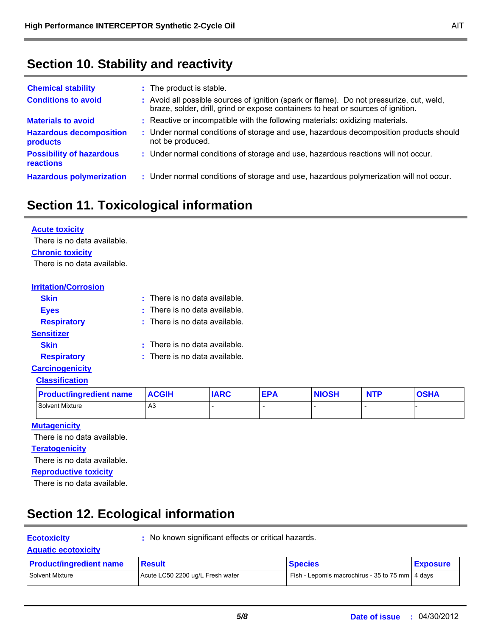## **Section 10. Stability and reactivity**

| <b>Chemical stability</b>                    | : The product is stable.                                                                                                                                                     |
|----------------------------------------------|------------------------------------------------------------------------------------------------------------------------------------------------------------------------------|
| <b>Conditions to avoid</b>                   | : Avoid all possible sources of ignition (spark or flame). Do not pressurize, cut, weld,<br>braze, solder, drill, grind or expose containers to heat or sources of ignition. |
| <b>Materials to avoid</b>                    | : Reactive or incompatible with the following materials: oxidizing materials.                                                                                                |
| <b>Hazardous decomposition</b><br>products   | : Under normal conditions of storage and use, hazardous decomposition products should<br>not be produced.                                                                    |
| <b>Possibility of hazardous</b><br>reactions | : Under normal conditions of storage and use, hazardous reactions will not occur.                                                                                            |
| <b>Hazardous polymerization</b>              | : Under normal conditions of storage and use, hazardous polymerization will not occur.                                                                                       |

## **Section 11. Toxicological information**

| <b>Acute toxicity</b>       |                                   |
|-----------------------------|-----------------------------------|
| There is no data available. |                                   |
| <b>Chronic toxicity</b>     |                                   |
| There is no data available. |                                   |
|                             |                                   |
| <b>Irritation/Corrosion</b> |                                   |
| <b>Skin</b>                 | $:$ There is no data available.   |
| <b>Eyes</b>                 | There is no data available.       |
| <b>Respiratory</b>          | $:$ There is no data available.   |
| <b>Sensitizer</b>           |                                   |
| <b>Skin</b>                 | There is no data available.<br>٠. |
| <b>Respiratory</b>          | $:$ There is no data available.   |
|                             |                                   |

#### **Carcinogenicity Classification**

| <b>Product/ingredient name</b> | <b>ACGIH</b> | <b>IARC</b> | <b>EPA</b> | <b>NIOSH</b> | <b>NTP</b> | <b>OSHA</b> |
|--------------------------------|--------------|-------------|------------|--------------|------------|-------------|
| Solvent Mixture                | A3           |             |            |              |            |             |

#### **Mutagenicity**

There is no data available.

#### **Teratogenicity**

There is no data available.

**Reproductive toxicity**

There is no data available.

# **Section 12. Ecological information**

**Ecotoxicity :** No known significant effects or critical hazards.

#### **Aquatic ecotoxicity**

| <b>Product/ingredient name</b> | <u> Result</u>                   | <b>Species</b>                                    | <b>Exposure</b> |
|--------------------------------|----------------------------------|---------------------------------------------------|-----------------|
| Solvent Mixture                | Acute LC50 2200 ug/L Fresh water | Fish - Lepomis macrochirus - 35 to 75 mm   4 days |                 |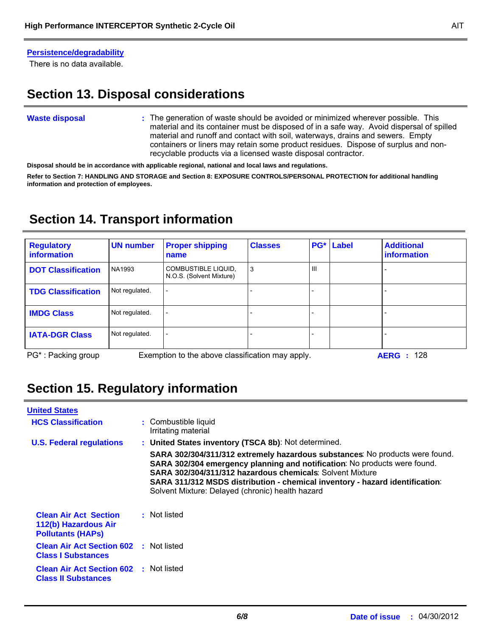#### **Persistence/degradability**

There is no data available.

## **Section 13. Disposal considerations**

#### The generation of waste should be avoided or minimized wherever possible. This **:** material and its container must be disposed of in a safe way. Avoid dispersal of spilled material and runoff and contact with soil, waterways, drains and sewers. Empty containers or liners may retain some product residues. Dispose of surplus and nonrecyclable products via a licensed waste disposal contractor. **Waste disposal**

**Disposal should be in accordance with applicable regional, national and local laws and regulations.**

**Refer to Section 7: HANDLING AND STORAGE and Section 8: EXPOSURE CONTROLS/PERSONAL PROTECTION for additional handling information and protection of employees.**

## **Section 14. Transport information**

| <b>Regulatory</b><br><b>information</b>                                                                  | <b>UN number</b> | <b>Proper shipping</b><br>name                  | <b>Classes</b> | $PG^*$         | Label | <b>Additional</b><br>information |
|----------------------------------------------------------------------------------------------------------|------------------|-------------------------------------------------|----------------|----------------|-------|----------------------------------|
| <b>DOT Classification</b>                                                                                | NA1993           | COMBUSTIBLE LIQUID,<br>N.O.S. (Solvent Mixture) | 3              | $\mathbf{III}$ |       |                                  |
| <b>TDG Classification</b>                                                                                | Not regulated.   | $\overline{\phantom{0}}$                        |                |                |       |                                  |
| <b>IMDG Class</b>                                                                                        | Not regulated.   |                                                 |                |                |       |                                  |
| <b>IATA-DGR Class</b>                                                                                    | Not regulated.   | $\overline{\phantom{0}}$                        |                |                |       |                                  |
| PG <sup>*</sup> : Packing group<br>Exemption to the above classification may apply.<br><b>AERG</b> : 128 |                  |                                                 |                |                |       |                                  |

## **Section 15. Regulatory information**

| <b>United States</b>                                                             |                                                                                                                                                                                                                                                                                                                                                                                                                           |
|----------------------------------------------------------------------------------|---------------------------------------------------------------------------------------------------------------------------------------------------------------------------------------------------------------------------------------------------------------------------------------------------------------------------------------------------------------------------------------------------------------------------|
| <b>HCS Classification</b>                                                        | : Combustible liquid<br>Irritating material                                                                                                                                                                                                                                                                                                                                                                               |
| <b>U.S. Federal regulations</b>                                                  | : United States inventory (TSCA 8b): Not determined.<br>SARA 302/304/311/312 extremely hazardous substances: No products were found.<br>SARA 302/304 emergency planning and notification: No products were found.<br><b>SARA 302/304/311/312 hazardous chemicals: Solvent Mixture</b><br>SARA 311/312 MSDS distribution - chemical inventory - hazard identification:<br>Solvent Mixture: Delayed (chronic) health hazard |
| <b>Clean Air Act Section</b><br>112(b) Hazardous Air<br><b>Pollutants (HAPS)</b> | : Not listed                                                                                                                                                                                                                                                                                                                                                                                                              |
| <b>Clean Air Act Section 602 : Not listed</b><br><b>Class I Substances</b>       |                                                                                                                                                                                                                                                                                                                                                                                                                           |
| <b>Clean Air Act Section 602 : Not listed</b><br><b>Class II Substances</b>      |                                                                                                                                                                                                                                                                                                                                                                                                                           |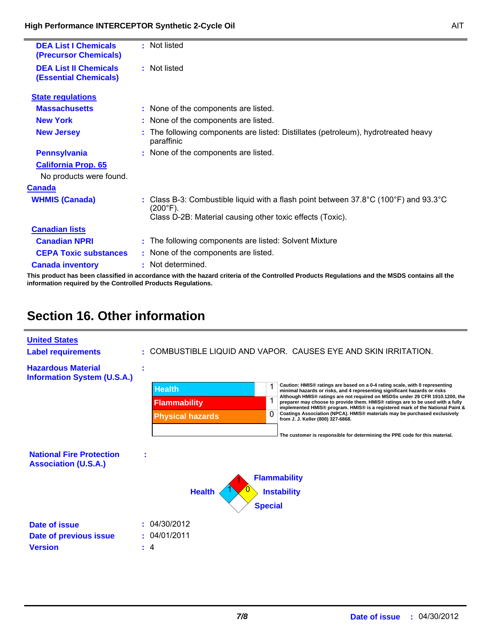Ė

| <b>DEA List I Chemicals</b><br>(Precursor Chemicals)         | : Not listed                                                                                                                               |
|--------------------------------------------------------------|--------------------------------------------------------------------------------------------------------------------------------------------|
| <b>DEA List II Chemicals</b><br><b>(Essential Chemicals)</b> | : Not listed                                                                                                                               |
| <b>State regulations</b>                                     |                                                                                                                                            |
| <b>Massachusetts</b>                                         | : None of the components are listed.                                                                                                       |
| <b>New York</b>                                              | : None of the components are listed.                                                                                                       |
| <b>New Jersey</b>                                            | The following components are listed: Distillates (petroleum), hydrotreated heavy<br>paraffinic                                             |
| <b>Pennsylvania</b>                                          | : None of the components are listed.                                                                                                       |
| <b>California Prop. 65</b>                                   |                                                                                                                                            |
| No products were found.                                      |                                                                                                                                            |
| Canada                                                       |                                                                                                                                            |
| <b>WHMIS (Canada)</b>                                        | : Class B-3: Combustible liquid with a flash point between $37.8^{\circ}$ C (100 $^{\circ}$ F) and 93.3 $^{\circ}$ C<br>$(200^{\circ}F)$ . |
|                                                              | Class D-2B: Material causing other toxic effects (Toxic).                                                                                  |
| <b>Canadian lists</b>                                        |                                                                                                                                            |
| <b>Canadian NPRI</b>                                         | : The following components are listed: Solvent Mixture                                                                                     |
| <b>CEPA Toxic substances</b>                                 | : None of the components are listed.                                                                                                       |
| <b>Canada inventory</b>                                      | : Not determined.                                                                                                                          |
|                                                              |                                                                                                                                            |

**This product has been classified in accordance with the hazard criteria of the Controlled Products Regulations and the MSDS contains all the information required by the Controlled Products Regulations.**

## **Section 16. Other information**

| <b>United States</b><br><b>Label requirements</b>               |                                                                 | : COMBUSTIBLE LIQUID AND VAPOR. CAUSES EYE AND SKIN IRRITATION.                                                                                                                                                                                                                                                                                                                                                                                                                                                                                                                                                          |
|-----------------------------------------------------------------|-----------------------------------------------------------------|--------------------------------------------------------------------------------------------------------------------------------------------------------------------------------------------------------------------------------------------------------------------------------------------------------------------------------------------------------------------------------------------------------------------------------------------------------------------------------------------------------------------------------------------------------------------------------------------------------------------------|
| <b>Hazardous Material</b><br><b>Information System (U.S.A.)</b> | <b>Health</b><br><b>Flammability</b><br><b>Physical hazards</b> | Caution: HMIS® ratings are based on a 0-4 rating scale, with 0 representing<br>minimal hazards or risks, and 4 representing significant hazards or risks<br>Although HMIS® ratings are not required on MSDSs under 29 CFR 1910.1200, the<br>preparer may choose to provide them. HMIS <sup>®</sup> ratings are to be used with a fully<br>implemented HMIS® program. HMIS® is a registered mark of the National Paint &<br>Coatings Association (NPCA). HMIS® materials may be purchased exclusively<br>from J. J. Keller (800) 327-6868.<br>The customer is responsible for determining the PPE code for this material. |
| <b>National Fire Protection</b><br><b>Association (U.S.A.)</b>  |                                                                 | <b>Flammability</b>                                                                                                                                                                                                                                                                                                                                                                                                                                                                                                                                                                                                      |
|                                                                 | <b>Health</b>                                                   | <b>Instability</b><br><b>Special</b>                                                                                                                                                                                                                                                                                                                                                                                                                                                                                                                                                                                     |
| Date of issue<br>Date of previous issue<br><b>Version</b>       | : 04/30/2012<br>04/01/2011<br>÷.                                |                                                                                                                                                                                                                                                                                                                                                                                                                                                                                                                                                                                                                          |